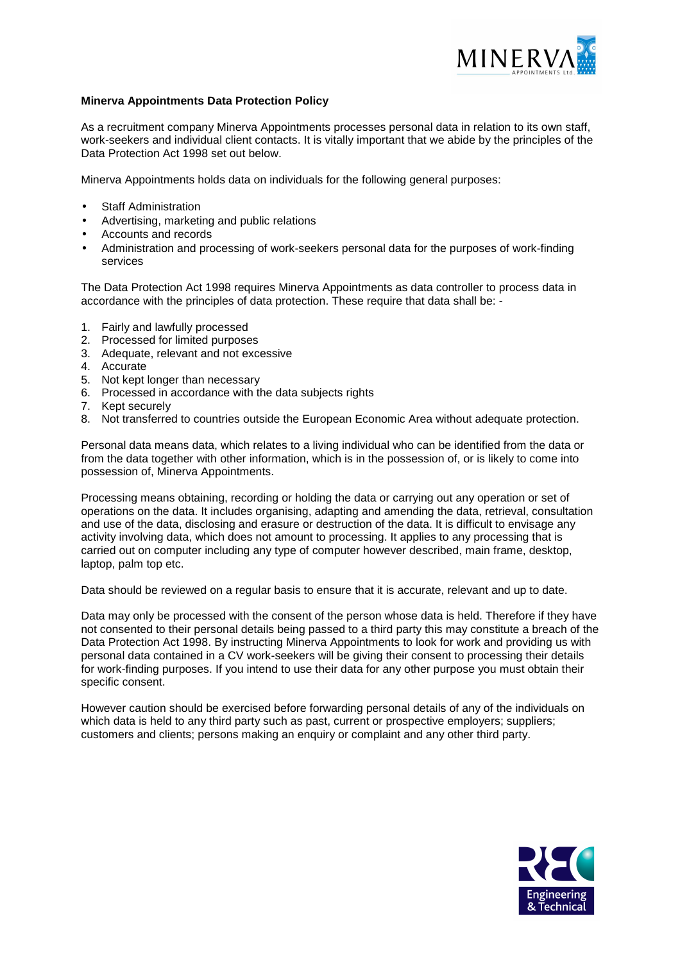

## **Minerva Appointments Data Protection Policy**

As a recruitment company Minerva Appointments processes personal data in relation to its own staff, work-seekers and individual client contacts. It is vitally important that we abide by the principles of the Data Protection Act 1998 set out below.

Minerva Appointments holds data on individuals for the following general purposes:

- **Staff Administration**
- Advertising, marketing and public relations
- Accounts and records
- Administration and processing of work-seekers personal data for the purposes of work-finding services

The Data Protection Act 1998 requires Minerva Appointments as data controller to process data in accordance with the principles of data protection. These require that data shall be: -

- 1. Fairly and lawfully processed
- 2. Processed for limited purposes
- 3. Adequate, relevant and not excessive
- 4. Accurate
- 5. Not kept longer than necessary
- 6. Processed in accordance with the data subjects rights
- 7. Kept securely
- 8. Not transferred to countries outside the European Economic Area without adequate protection.

Personal data means data, which relates to a living individual who can be identified from the data or from the data together with other information, which is in the possession of, or is likely to come into possession of, Minerva Appointments.

Processing means obtaining, recording or holding the data or carrying out any operation or set of operations on the data. It includes organising, adapting and amending the data, retrieval, consultation and use of the data, disclosing and erasure or destruction of the data. It is difficult to envisage any activity involving data, which does not amount to processing. It applies to any processing that is carried out on computer including any type of computer however described, main frame, desktop, laptop, palm top etc.

Data should be reviewed on a regular basis to ensure that it is accurate, relevant and up to date.

Data may only be processed with the consent of the person whose data is held. Therefore if they have not consented to their personal details being passed to a third party this may constitute a breach of the Data Protection Act 1998. By instructing Minerva Appointments to look for work and providing us with personal data contained in a CV work-seekers will be giving their consent to processing their details for work-finding purposes. If you intend to use their data for any other purpose you must obtain their specific consent.

However caution should be exercised before forwarding personal details of any of the individuals on which data is held to any third party such as past, current or prospective employers; suppliers; customers and clients; persons making an enquiry or complaint and any other third party.

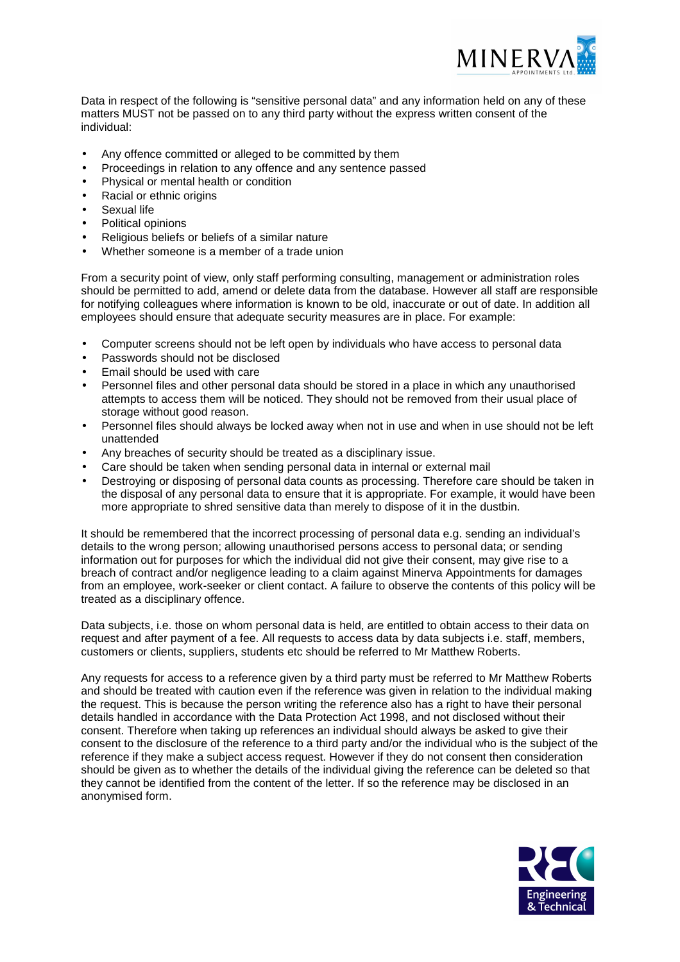

Data in respect of the following is "sensitive personal data" and any information held on any of these matters MUST not be passed on to any third party without the express written consent of the individual:

- Any offence committed or alleged to be committed by them
- Proceedings in relation to any offence and any sentence passed
- Physical or mental health or condition
- Racial or ethnic origins
- Sexual life
- Political opinions
- Religious beliefs or beliefs of a similar nature
- Whether someone is a member of a trade union

From a security point of view, only staff performing consulting, management or administration roles should be permitted to add, amend or delete data from the database. However all staff are responsible for notifying colleagues where information is known to be old, inaccurate or out of date. In addition all employees should ensure that adequate security measures are in place. For example:

- Computer screens should not be left open by individuals who have access to personal data
- Passwords should not be disclosed
- Email should be used with care
- Personnel files and other personal data should be stored in a place in which any unauthorised attempts to access them will be noticed. They should not be removed from their usual place of storage without good reason.
- Personnel files should always be locked away when not in use and when in use should not be left unattended
- Any breaches of security should be treated as a disciplinary issue.
- Care should be taken when sending personal data in internal or external mail
- Destroying or disposing of personal data counts as processing. Therefore care should be taken in the disposal of any personal data to ensure that it is appropriate. For example, it would have been more appropriate to shred sensitive data than merely to dispose of it in the dustbin.

It should be remembered that the incorrect processing of personal data e.g. sending an individual's details to the wrong person; allowing unauthorised persons access to personal data; or sending information out for purposes for which the individual did not give their consent, may give rise to a breach of contract and/or negligence leading to a claim against Minerva Appointments for damages from an employee, work-seeker or client contact. A failure to observe the contents of this policy will be treated as a disciplinary offence.

Data subjects, i.e. those on whom personal data is held, are entitled to obtain access to their data on request and after payment of a fee. All requests to access data by data subjects i.e. staff, members, customers or clients, suppliers, students etc should be referred to Mr Matthew Roberts.

Any requests for access to a reference given by a third party must be referred to Mr Matthew Roberts and should be treated with caution even if the reference was given in relation to the individual making the request. This is because the person writing the reference also has a right to have their personal details handled in accordance with the Data Protection Act 1998, and not disclosed without their consent. Therefore when taking up references an individual should always be asked to give their consent to the disclosure of the reference to a third party and/or the individual who is the subject of the reference if they make a subject access request. However if they do not consent then consideration should be given as to whether the details of the individual giving the reference can be deleted so that they cannot be identified from the content of the letter. If so the reference may be disclosed in an anonymised form.